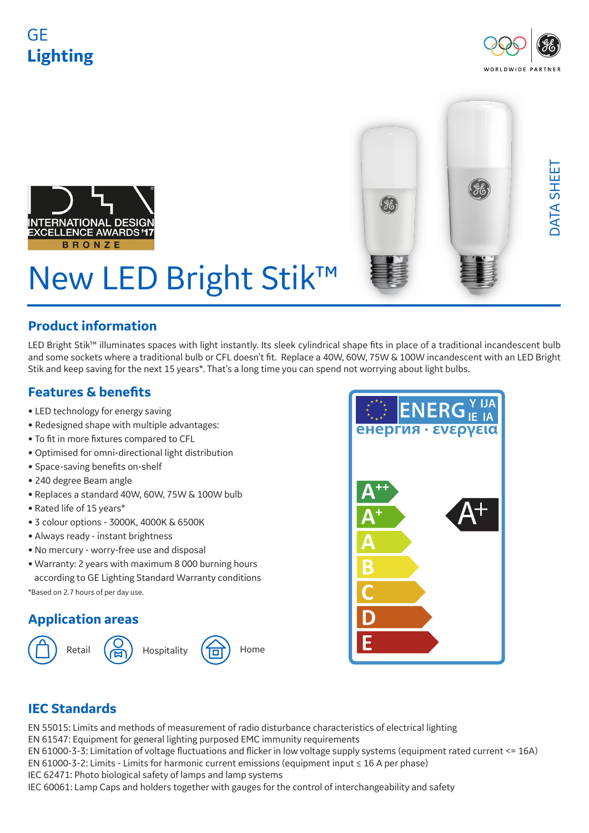## GE **Lighting**







# New LED Bright Stik™

### **Product information**

LED Bright Stik™ illuminates spaces with light instantly. Its sleek cylindrical shape fits in place of a traditional incandescent bulb and some sockets where a traditional bulb or CFL doesn't fit. Replace a 40W, 60W, 75W & 100W incandescent with an LED Bright Stik and keep saving for the next 15 years\*. That's a long time you can spend not worrying about light bulbs.

## **Features & benefits**

- LED technology for energy saving
- Redesigned shape with multiple advantages:
- To fit in more fixtures compared to CFL
- Optimised for omni-directional light distribution
- Space-saving benefits on-shelf
- 240 degree Beam angle
- Replaces a standard 40W, 60W, 75W & 100W bulb
- Rated life of 15 years\*
- 3 colour options 3000K, 4000K & 6500K
- Always ready instant brightness
- No mercury worry-free use and disposal
- Warranty: 2 years with maximum 8 000 burning hours according to GE Lighting Standard Warranty conditions

\*Based on 2.7 hours of per day use.

### **Application areas**





## **IEC Standards**

EN 55015: Limits and methods of measurement of radio disturbance characteristics of electrical lighting EN 61547: Equipment for general lighting purposed EMC immunity requirements EN 61000-3-3: Limitation of voltage fluctuations and flicker in low voltage supply systems (equipment rated current <= 16A) EN 61000-3-2: Limits - Limits for harmonic current emissions (equipment input ≤ 16 A per phase) IEC 62471: Photo biological safety of lamps and lamp systems IEC 60061: Lamp Caps and holders together with gauges for the control of interchangeability and safety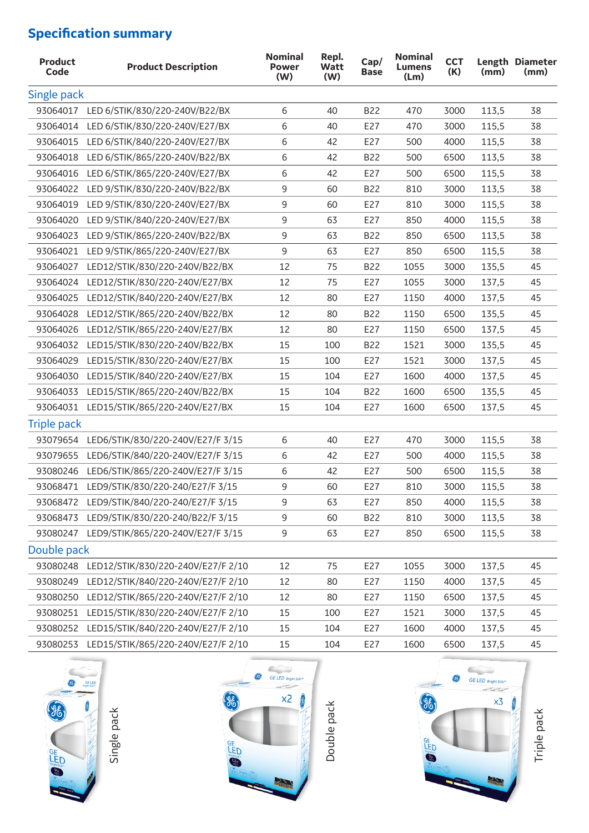## **Specification summary**

| <b>Product</b><br>Code | <b>Product Description</b>                  | <b>Nominal</b><br><b>Power</b><br>(W) | Repl.<br><b>Watt</b><br>(W) | Cap/<br><b>Base</b> | <b>Nominal</b><br><b>Lumens</b><br>(Lm) | <b>CCT</b><br>(K) | (mm)  | Length Diameter<br>(mm) |
|------------------------|---------------------------------------------|---------------------------------------|-----------------------------|---------------------|-----------------------------------------|-------------------|-------|-------------------------|
| Single pack            |                                             |                                       |                             |                     |                                         |                   |       |                         |
|                        | 93064017 LED 6/STIK/830/220-240V/B22/BX     | 6                                     | 40                          | <b>B22</b>          | 470                                     | 3000              | 113,5 | 38                      |
| 93064014               | LED 6/STIK/830/220-240V/E27/BX              | 6                                     | 40                          | E27                 | 470                                     | 3000              | 115,5 | 38                      |
| 93064015               | LED 6/STIK/840/220-240V/E27/BX              | 6                                     | 42                          | E27                 | 500                                     | 4000              | 115,5 | 38                      |
| 93064018               | LED 6/STIK/865/220-240V/B22/BX              | 6                                     | 42                          | <b>B22</b>          | 500                                     | 6500              | 113,5 | 38                      |
| 93064016               | LED 6/STIK/865/220-240V/E27/BX              | 6                                     | 42                          | E27                 | 500                                     | 6500              | 115,5 | 38                      |
| 93064022               | LED 9/STIK/830/220-240V/B22/BX              | 9                                     | 60                          | <b>B22</b>          | 810                                     | 3000              | 113,5 | 38                      |
| 93064019               | LED 9/STIK/830/220-240V/E27/BX              | 9                                     | 60                          | E27                 | 810                                     | 3000              | 115,5 | 38                      |
| 93064020               | LED 9/STIK/840/220-240V/E27/BX              | 9                                     | 63                          | E27                 | 850                                     | 4000              | 115,5 | 38                      |
| 93064023               | LED 9/STIK/865/220-240V/B22/BX              | 9                                     | 63                          | <b>B22</b>          | 850                                     | 6500              | 113,5 | 38                      |
| 93064021               | LED 9/STIK/865/220-240V/E27/BX              | 9                                     | 63                          | E27                 | 850                                     | 6500              | 115,5 | 38                      |
| 93064027               | LED12/STIK/830/220-240V/B22/BX              | 12                                    | 75                          | <b>B22</b>          | 1055                                    | 3000              | 135,5 | 45                      |
| 93064024               | LED12/STIK/830/220-240V/E27/BX              | 12                                    | 75                          | E27                 | 1055                                    | 3000              | 137,5 | 45                      |
| 93064025               | LED12/STIK/840/220-240V/E27/BX              | 12                                    | 80                          | E27                 | 1150                                    | 4000              | 137,5 | 45                      |
| 93064028               | LED12/STIK/865/220-240V/B22/BX              | 12                                    | 80                          | <b>B22</b>          | 1150                                    | 6500              | 135,5 | 45                      |
| 93064026               | LED12/STIK/865/220-240V/E27/BX              | 12                                    | 80                          | E27                 | 1150                                    | 6500              | 137,5 | 45                      |
| 93064032               | LED15/STIK/830/220-240V/B22/BX              | 15                                    | 100                         | <b>B22</b>          | 1521                                    | 3000              | 135,5 | 45                      |
| 93064029               | LED15/STIK/830/220-240V/E27/BX              | 15                                    | 100                         | E27                 | 1521                                    | 3000              | 137,5 | 45                      |
| 93064030               | LED15/STIK/840/220-240V/E27/BX              | 15                                    | 104                         | E27                 | 1600                                    | 4000              | 137,5 | 45                      |
| 93064033               | LED15/STIK/865/220-240V/B22/BX              | 15                                    | 104                         | <b>B22</b>          | 1600                                    | 6500              | 135,5 | 45                      |
|                        | 93064031 LED15/STIK/865/220-240V/E27/BX     | 15                                    | 104                         | E27                 | 1600                                    | 6500              | 137,5 | 45                      |
| <b>Triple pack</b>     |                                             |                                       |                             |                     |                                         |                   |       |                         |
|                        | 93079654 LED6/STIK/830/220-240V/E27/F 3/15  | 6                                     | 40                          | E27                 | 470                                     | 3000              | 115,5 | 38                      |
| 93079655               | LED6/STIK/840/220-240V/E27/F 3/15           | 6                                     | 42                          | E27                 | 500                                     | 4000              | 115,5 | 38                      |
| 93080246               | LED6/STIK/865/220-240V/E27/F 3/15           | 6                                     | 42                          | E27                 | 500                                     | 6500              | 115,5 | 38                      |
|                        | 93068471 LED9/STIK/830/220-240/E27/F 3/15   | 9                                     | 60                          | E27                 | 810                                     | 3000              | 115,5 | 38                      |
|                        | 93068472 LED9/STIK/840/220-240/E27/F 3/15   | 9                                     | 63                          | E27                 | 850                                     | 4000              | 115,5 | 38                      |
| 93068473               | LED9/STIK/830/220-240/B22/F 3/15            | 9                                     | 60                          | <b>B22</b>          | 810                                     | 3000              | 113,5 | 38                      |
|                        | 93080247 LED9/STIK/865/220-240V/E27/F 3/15  | 9                                     | 63                          | E27                 | 850                                     | 6500              | 115,5 | 38                      |
| Double pack            |                                             |                                       |                             |                     |                                         |                   |       |                         |
|                        | 93080248 LED12/STIK/830/220-240V/E27/F 2/10 | 12                                    | 75                          | E27                 | 1055                                    | 3000              | 137,5 | 45                      |
| 93080249               | LED12/STIK/840/220-240V/E27/F 2/10          | 12                                    | 80                          | E27                 | 1150                                    | 4000              | 137,5 | 45                      |
|                        | 93080250 LED12/STIK/865/220-240V/E27/F 2/10 | 12                                    | 80                          | E27                 | 1150                                    | 6500              | 137,5 | 45                      |
| 93080251               | LED15/STIK/830/220-240V/E27/F 2/10          | 15                                    | 100                         | E27                 | 1521                                    | 3000              | 137,5 | 45                      |
| 93080252               | LED15/STIK/840/220-240V/E27/F 2/10          | 15                                    | 104                         | E27                 | 1600                                    | 4000              | 137,5 | 45                      |
|                        | 93080253 LED15/STIK/865/220-240V/E27/F 2/10 | 15                                    | 104                         | E27                 | 1600                                    | 6500              | 137,5 | 45                      |
|                        |                                             |                                       |                             |                     |                                         |                   |       |                         |

 $\subset$ 0 GE LED 86 Single pack **SHED** 

Single pack



Double pack

Double pack